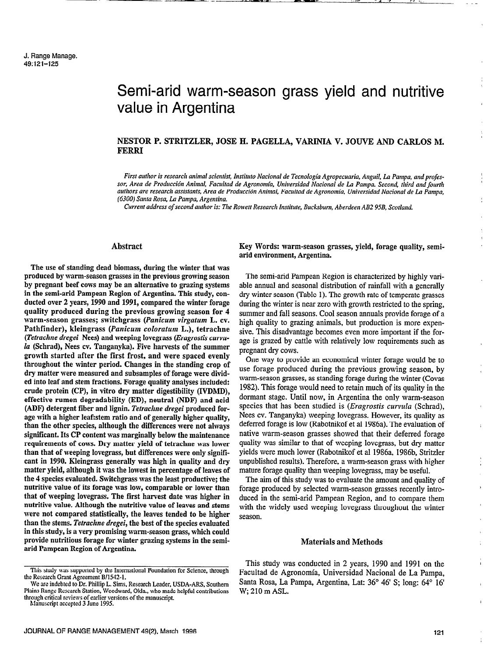# Semi-arid warm-season grass yield and nutritive value in Argentina

# NESTOR P. STRITZLER, JOSE H. PAGELLA, VARINIA V. JOUVE AND CARLOS M. FERRI

First author is research animal scientist, Instituto Nacional de Tecnología Agropecuaria, Anguil, La Pampa, and professor, Area de Producción Animal, Facultad de Agronomía, Universidad Nacional de La Pampa. Second, third and fourth authors are research assistants, Area de Producción Animal, Facultad de Agronomía, Universidad Nacional de La Pampa, (6300) Santa Rosa, La Pampa, Argentina.

Current address of second author is: The Rowett Research Institute, Bucksbum, Aberdeen AB2 95B, Scotland.

# Abstract

The use of standing dead biomass, during the winter that was produced by warm-season grasses in the previous growing season by pregnant beef cows may be an alternative to grazing systems in the semi-arid Pampean Region of Argentina. This study, conducted over 2 years, 1990 and 1991, compared the winter forage quality produced during the previous growing season for 4 warm-season grasses; switchgrass (Panicum virgatum L. cv. Pathfinder), kleingrass (Panicum coloratum L.), tetrachne (Tetrachne dregei Nees) and weeping lovegrass (Eragrostis curvula (Schrad), Nees cv. Tanganyka). Five harvests of the summer growth started after the first frost, and were spaced evenly throughout the winter period. Changes in the standing crop of dry matter were measured and subsamples of forage were divided into leaf and stem fractions. Forage quality analyses included: crude protein (CP), in vitro dry matter digestibility (IVDMD), effective rumen degradability (ED), neutral (NDF) and acid (ADF) detergent fiber and lignin. Tetrachne dregei produced forage with a higher leaf:stem ratio and of generally higher quality, than the other species, although the differences were not always significant. Its CP content was marginally below the maintenance requirements of cows. Dry matter yield of tetrachne was lower than that of weeping lovegrass, but differences were only significant in 1990. Kleingrass generally was high in quality and dry matter yield, although it was the lowest in percentage of leaves of the 4 species evaluated. Switchgrass was the least productive; the nutritive value of its forage was low, comparable or lower than that of weeping lovegrass. The first harvest date was higher in nutritive value. Although the nutritive value of leaves and stems were not compared statistically, the leaves tended to be higher than the stems. Tetrachne dregei, the best of the species evaluated in this study, is a very promising warm-season grass, which could provide nutritious forage for winter grazing systems in the semiarid Pampean Region of Argentina.

Manuscript accepted 3 June 1995.

Key Words: warm-season grasses, yield, forage quality, semiarid environment, Argentina.

The semi-arid Pampean Region is characterized by highly variable annual and seasonal distribution of rainfall with a generally dry winter season (Table I). The growth rate of temperate grasses during the winter is near zero with growth restricted to the spring, summer and fall seasons. Cool season annuals provide forage of a high quality to grazing animals, but production is more expensive. This disadvantage becomes even more important if the forage is grazed by cattle with relatively low requirements such as pregnant dry cows.

One way to provide an economical winter forage would be to use forage produced during the previous growing season, by warm-season grasses, as standing forage during the winter (Covas 1982). This forage would need to retain much of its quality in the dormant stage. Until now, in Argentina the only warm-season species that has been studied is *(Eragrostis curvula (Schrad)*, Nees cv. Tanganyka) weeping lovegrass. However, its quality as deferred forage is low (Rabotnikof et al 1986a). The evaluation of native warm-season grasses showed that their deferred forage quality was similar to that of weeping lovegrass, but dry matter yields were much lower (Rabotnikof et al 1986a, 1986b, Stritzler unpublished results). Therefore, a warm-season grass with higher mature forage quality than weeping lovegrass, may be useful.

The aim of this study was to evaluate the amount and quality of forage produced by selected warm-season grasses recently introduced in the semi-arid Pampean Region, and to compare them with the widely used weeping lovegrass throughout the winter season.

#### Materials and Methods

This study was conducted in 2 years, 1990 and 1991 on the Facultad de Agronomía, Universidad Nacional de La Pampa, Santa Rosa, La Pampa, Argentina, Lat: 36° 46' S; long: 64° 16' W; 210 m ASL.

This study was supported by the International Foundation for Science, through the Research Grant Agreement B/1542-1.

We are indebted to Dr. Phillip L. Sims, Research Leader, USDA-ARS, Southern Plains Range Research Station, Woodward, Okla., who made helpful contributions through critical reviews of earlier versions of the manuscript.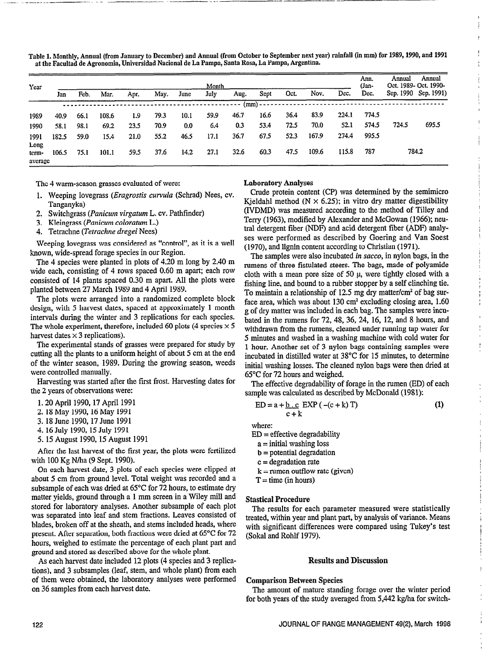Table 1. Monthly, Annual (from January to December) and Annual (from October to September next year) rainfall (in mm) for 1989,1990, and 1991 at the Facultad de Agronomia, Universidad National de La Pampa, Santa Rosa, La Pampa, Argentina.

| Year             |       |      |       |      |      |      | Month |      |              |      |       |       | Ann.<br>(Jan- | Annual | Annual<br>Oct. 1989- Oct. 1990- |
|------------------|-------|------|-------|------|------|------|-------|------|--------------|------|-------|-------|---------------|--------|---------------------------------|
|                  | Jan   | Feb. | Mar.  | Apr. | May. | June | July  | Aug. | Sept         | Oct. | Nov.  | Dec.  | Dec.          |        | Sep. 1990 Sep. 1991)            |
|                  |       |      |       |      |      |      |       |      | (mm) - - - - |      |       |       |               |        |                                 |
| 1989             | 40.9  | 66.1 | 108.6 | 1.9  | 79.3 | 10.1 | 59.9  | 46.7 | 16.6         | 36.4 | 83.9  | 224.1 | 774.5         |        |                                 |
| 1990             | 58.I  | 98.1 | 69.2  | 23.5 | 70.9 | 0.0  | 6.4   | 0.3  | 53.4         | 72.5 | 70.0  | 52.1  | 574.5         | 724.5  | 695.5                           |
| 1991<br>Long     | 182.5 | 59.0 | 15.4  | 21.0 | 55.2 | 46.5 | 17.1  | 36.7 | 67.5         | 52.3 | 167.9 | 274.4 | 995.5         |        |                                 |
| term-<br>average | 106.5 | 75.1 | 101.1 | 59.5 | 37.6 | 14.2 | 27.1  | 32.6 | 60.3         | 47.5 | 109.6 | 115.8 | 787           |        | 784.2                           |

The 4 warm-season grasses evaluated of were:

1. Weeping lovegrass (Eragrostis curvula (Schrad) Nees, cv. Tanganyka)

.-. -- \_---- .- -\_. -

- 2. Switchgrass (Panicum virgatum L. cv. Pathfinder)
- 3. Kleingrass (Panicum coloratum L.)
- 4. Tetrachne (Tetrachne dregei Nees)

Weeping lovegrass was considered as "control", as it is a well known, wide-spread forage species in our Region.

The 4 species were planted in plots of 4.20 m long by 2.40 m wide each, consisting of 4 rows spaced 0.60 m apart; each row consisted of 14 plants spaced 0.30 m apart. All the plots were planted between 27 March 1989 and 4 April 1989.

The plots were arranged into a randomized complete block design, with 5 harvest dates, spaced at approximately 1 month intervals during the winter and 3 replications for each species. The whole experiment, therefore, included 60 plots (4 species  $\times$  5 harvest dates  $\times$  3 replications).

The experimental stands of grasses were prepared for study by cutting all the plants to a uniform height of about 5 cm at the end of the winter season, 1989. During the growing season, weeds were controlled manually.

Harvesting was started after the first frost. Harvesting dates for the 2 years of observations were:

- 1.20 April 1990.17 April 1991
- 2.18 May 1990,16 May 1991
- 3.18 June 1990,17 June 1991
- 4. 16 July 1990, 15 July 1991
- 5.15 August 1990, 15 August 1991

After the last harvest of the first year, the plots were fertilized with 100 Kg N/ha (9 Sept. 1990).

On each harvest date, 3 plots of each species were clipped at about 5 cm from ground level. Total weight was recorded and a subsample of each was dried at 65°C for 72 hours, to estimate dry matter yields, ground through a 1 mm screen in a Wiley mill and stored for laboratory analyses. Another subsample of each plot was separated into leaf and stem fractions. Leaves consisted of blades, broken off at the sheath, and stems included heads, where present. After separation, both fractions were dried at 65°C for 72 hours, weighed to estimate the percentage of each plant part and ground and stored as described above for the whole plant.

As each harvest date included 12 plots (4 species and 3 replications), and 3 subsamples (leaf, stem, and whole plant) from each of them were obtained, the laboratory analyses were performed on 36 samples from each harvest date.

#### Laboratory Analyses

Crude protein content (CP) was determined by the semimicro Kieldahl method ( $N \times 6.25$ ); in vitro dry matter digestibility (IVDMD) was measured according to the method of Tilley and Terry (1963), modified by Alexander and McGowan (1966); neutral detergent fiber (NDF) and acid detergent fiber (ADF) analyses were performed as described by Goering and Van Soest (1970), and lignin content according to Christian (197 1).

The samples were also incubated *in sacco*, in nylon bags, in the rumens of three fistulated steers. The bags, made of polyamide cloth with a mean pore size of 50  $\mu$ , were tightly closed with a fishing line, and bound to a rubber stopper by a self clinching tie. To maintain a relationship of 12.5 mg dry matter/cm' of bag surface area, which was about  $130 \text{ cm}^2$  excluding closing area, 1.60 g of dry matter was included in each bag. The samples were incubated in the rumens for 72,48,36,24, 16, 12, and 8 hours, and withdrawn from the rumens, cleaned under running tap water for 5 minutes and washed in a washing machine with cold water for 1 hour. Another set of 3 nylon bags containing samples were incubated in distilled water at 38°C for 15 minutes, to determine initial washing losses. The cleaned nylon bags were then dried at 65°C for 12 hours and weighed.

The effective degradability of forage in the rumen (ED) of each sample was calculated as described by McDonald (1981):

$$
ED = a + \underline{b \cdot c} \, EXP \, (- (c + k) \, T) \tag{1}
$$

where:

 $ED = effective$  degradability

- $a =$  initial washing loss
- $b =$  potential degradation
- $c =$  degradation rate
- $k =$  rumen outflow rate (given)
- $T =$  time (in hours)

## Stastical Procedure

The results for each parameter measured were statistically treated, within year and plant part, by analysis of variance. Means with significant differences were compared using Tukey's test (Sokal and Rohlf 1979).

## Results and Discussion

### Comparison Between Species

The amount of mature standing forage over the winter period for both years of the study averaged from 5,442 kg/ha for switch-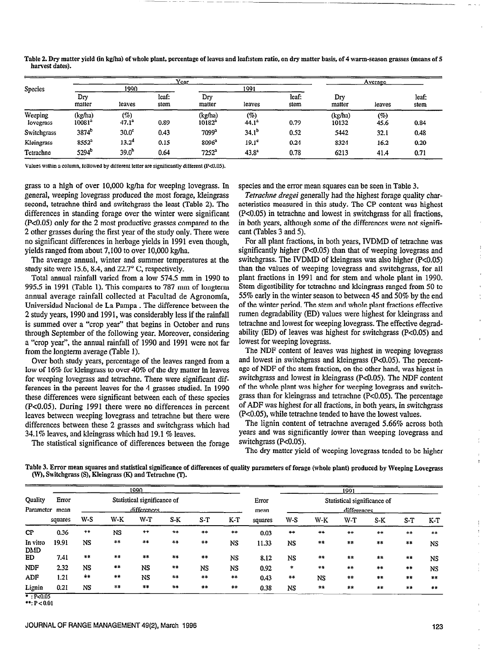|                      |                      |                 | Year          |                      |                   |               |                  | Average     |               |
|----------------------|----------------------|-----------------|---------------|----------------------|-------------------|---------------|------------------|-------------|---------------|
| <b>Species</b>       |                      | 1990            |               |                      | 1991              |               |                  |             |               |
|                      | Drv<br>matter        | leaves          | leaf:<br>stem | Dry<br>matter        | leaves            | leaf:<br>stem | Dry<br>matter    | leaves      | leaf:<br>stem |
| Weeping<br>lovegrass | (kg/ha)<br>$10081^a$ | (%)<br>$47.1^a$ | 0.89          | (kg/ha)<br>$10182^3$ | (%)<br>$44.1^a$   | 0.79          | (kg/ha)<br>10132 | (%)<br>45.6 | 0.84          |
| Switchgrass          | 3874 <sup>b</sup>    | $30.0^\circ$    | 0.43          | $7099^a$             | $34.1^{b}$        | 0.52          | 5442             | 32.1        | 0.48          |
| Kleingrass           | 8552 <sup>a</sup>    | $13.2^4$        | 0.15          | $8096^a$             | 19.1 <sup>c</sup> | 0.24          | 8324             | 16.2        | 0.20          |
| Tetrachne            | 5294 <sup>b</sup>    | $39.0^b$        | 0.64          | $7252^a$             | 43.8 <sup>a</sup> | 0.78          | 6213             | 41.4        | 0.71          |

Table 2. Dry matter yield (in kglha) of whole plant, percentage of leaves and leafistem ratio, on dry matter basis, of 4 warm-season grasses (means of 5 harvest dates).

Values within a column, followed by different letter are significantly different (P<0.05).

grass to a high of over 10,000 kg/ha for weeping lovegrass. In general, weeping lovegrass produced the most forage, kleingrass second, tetrachne third and switchgrass the least (Table 2). The differences in standing forage over the winter were significant (PcO.05) only for the 2 most productive grasses compared to the 2 other grasses during the first year of the study only. There were no significant differences in herbage yields in 1991 even though, yields ranged from about 7,100 to over 10,000 kg/ha.

The average annual, winter and summer temperatures at the study site were 15.6, 8.4, and  $22.7^{\circ}$  C, respectively.

Total annual rainfall varied from a low 574.5 mm in 1990 to 995.5 in 1991 (Table 1). This compares to 787 mm of longterm annual average rainfall collected at Facultad de Agronomia, Universidad Nacional de La Pampa . The difference between the 2 study years, 1990 and 1991, was considerably less if the rainfall is summed over a "crop year" that begins in October and runs through September of the following year. Moreover, considering a "crop year", the annual rainfall of 1990 and 1991 were not far from the longterm average (Table 1).

Over both study years, percentage of the leaves ranged from a low of 16% for kleingrass to over 40% of the dry matter in leaves for weeping lovegrass and tetrachne. There were significant differences in the percent leaves for the 4 grasses studied. In 1990 these differences were significant between each of these species (PcO.05). During 1991 there were no differences in percent leaves between weeping lovegrass and tetrachne but there were differences between these 2 grasses and switchgrass which had 34.1% leaves, and kleingrass which had 19.1 % leaves.

The statistical significance of differences between the forage

species and the error mean squares can be seen in Table 3.

Tetrachne dregei generally had the highest forage quality characteristics measured in this study. The CP content was highest (PcO.05) in tetrachne and lowest in switchgrass for all fractions, in both years, although some of the differences were not significant (Tables 3 and 5).

For all plant fractions, in both years, IVDMD of tetrachne was significantly higher (P<0.05) than that of weeping lovegrass and switchgrass. The IVDMD of kleingrass was also higher (P<0.05) than the values of weeping lovegrass and switchgrass, for all plant fractions in 1991 and for stem and whole plant in 1990. Stem digestibility for tetrachne and kleingrass ranged from 50 tc 55% early in the winter season to between 45 and 50% by the end of the winter period. The stem and whole plant fractions effective rumen degradability (ED) values were highest for kleingrass and tetrachne and lowest for weeping lovegrass. The effective degradability (ED) of leaves was highest for switchgrass (PcO.05) and lowest for weeping lovegrass.

The NDF content of leaves was highest in weeping lovegrass and lowest in switchgrass and kleingrass (PcO.05). The percentage of NDF of the stem fraction, on the other hand, was higest in switchgrass and lowest in kleingrass (PcO.05). The NDF content of the whole plant was higher for weeping lovegrass and switchgrass than for kleingrass and tetrachne (PcO.05). The percentage of ADF was highest for all fractions, in both years, in switchgrass (P<O.O5), while tetrachne tended to have the lowest values.

The lignin content of tetrachne averaged 5.66% across both years and was significantly lower than weeping Iovegrass and switchgrass (P<0.05).

The dry matter yield of weeping lovegrass tended to be higher

Table 3. Error mean squares and statistical significance of differences of quality parameters of forage (whole plant) produced by Weeping Lovegrass (W), Switchgrass (S), Kleingrass (K) and Tetrachne (T).

|                      |               |                                            |       | 1990      |       |            |       | 1991          |                                            |       |       |       |       |           |  |
|----------------------|---------------|--------------------------------------------|-------|-----------|-------|------------|-------|---------------|--------------------------------------------|-------|-------|-------|-------|-----------|--|
| Quality<br>Parameter | Error<br>mean | Statistical significance of<br>differences |       |           |       |            |       | Error<br>mean | Statistical significance of<br>differences |       |       |       |       |           |  |
|                      | squares       | W-S                                        | $W-K$ | $W-T$     | $S-K$ | $S-T$      | K-T   | squares       | W-S                                        | $W-K$ | W-T   | S-K   | $S-T$ | $K-T$     |  |
| CP                   | 0.36          | $\pm\pm$                                   | NS    | $***$     | $***$ | **         | $***$ | 0.03          | $\ddagger$ +                               | $***$ | $***$ | $***$ | $***$ | $***$     |  |
| In vitro<br>DMD      | 19.91         | <b>NS</b>                                  | $***$ | $***$     | $***$ | $\bf{***}$ | NS    | 11.33         | <b>NS</b>                                  | **    | $***$ | 本本    | $***$ | <b>NS</b> |  |
| ED                   | 7.41          | $***$                                      | $***$ | $***$     | $***$ | $***$      | NS    | 8.12          | <b>NS</b>                                  | $***$ | $***$ | $***$ | $***$ | <b>NS</b> |  |
| <b>NDF</b>           | 2.32          | NS                                         | **    | <b>NS</b> | $***$ | <b>NS</b>  | NS    | 0.92          | $\ast$                                     | $***$ | $***$ | $***$ | $***$ | NS        |  |
| <b>ADF</b>           | 1.21          | $***$                                      | $***$ | <b>NS</b> | $***$ | $***$      | $***$ | 0.43          | $***$                                      | NS    | $***$ | $***$ | $***$ | $***$     |  |
| Lignin               | 0.21          | NS                                         | $***$ | $++$      | $***$ | $***$      | $***$ | 0.38          | NS                                         | $***$ | $***$ | $***$ | $***$ | $+ +$     |  |

 $\overline{\cdot}$  : P<0.05

 $*:{P<0.01}$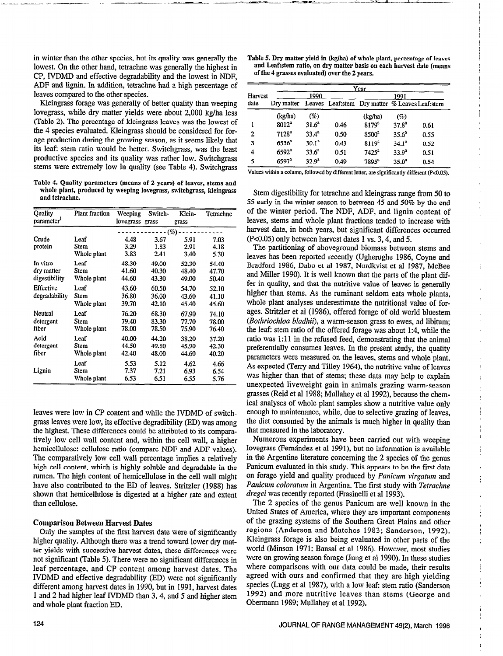in winter than the other species, but its quality was generally the lowest. On the other hand, tetrachne was generally the highest in CP, IVDMD and effective degradability and the lowest in NDF, ADF and lignin. In addition, tetrachne had a high percentage of leaves compared to the other species.

Kleingrass forage was generally of better quality than weeping lovegrass, while dry matter yields were about 2,000 kg/ha less (Table 2). The percentage of kleingrass leaves was the lowest of the 4 species evaluated. Kleingrass should be considered for forage production during the growing season, as it seems likely that its leaf: stem ratio would be better. Switchgrass, was the least productive species and its quality was rather low. Switchgrass stems were extremely low in quality (see Table 4). Switchgrass

Table 4. Quality parameters (means of 2 years) of leaves, stems and whole plant, produced by weeping lovegrass, switchgrass, kleingrass and tetrachne.

| Quality                | Plant fraction | Weeping         | Switch-  | Klein- | Tetrachne |
|------------------------|----------------|-----------------|----------|--------|-----------|
| parameter <sup>1</sup> |                | lovegrass grass |          | grass  |           |
|                        |                |                 | $--(\%)$ |        |           |
| Crude                  | Leaf           | 4.48            | 3.67     | 5.91   | 7.03      |
| protein                | Stem           | 3.29            | 1.83     | 2.91   | 4.18      |
|                        | Whole plant    | 3.83            | 2.41     | 3.40   | 5.30      |
| In vitro               | Leaf           | 48.30           | 49.00    | 52.30  | 54.40     |
| dry matter             | Stem           | 41.60           | 40.30    | 48.40  | 47.70     |
| digestibility          | Whole plant    | 44.60           | 43.30    | 49.00  | 50.40     |
| Effective              | Leaf           | 43.60           | 60.50    | 54.70  | 52.10     |
| degradability          | Stem           | 36.80           | 36.00    | 43.60  | 41.10     |
|                        | Whole plant    | 39.70           | 42.10    | 45.40  | 45.60     |
| Neutral                | Leaf           | 76.20           | 68.30    | 67.90  | 74.10     |
| detergent              | Stem           | 79.40           | 83.30    | 77.70  | 78.00     |
| fiber                  | Whole plant    | 78.00           | 78.50    | 75.90  | 76.40     |
| Acid                   | Leaf           | 40.00           | 44.20    | 38.20  | 37.20     |
| detergent              | Stem           | 44.50           | 49.80    | 45.90  | 42.30     |
| fiber                  | Whole plant    | 42.40           | 48.00    | 44.60  | 40.20     |
|                        | Leaf           | 5.53            | 5.12     | 4.62   | 4.66      |
| Lignin                 | Stem           | 7.37            | 7.21     | 6.93   | 6.54      |
|                        | Whole plant    | 6.53            | 6.51     | 6.55   | 5.76      |

leaves were low in CP content and while the IVDMD of switchgrass leaves were low, its effective degradibility (ED) was among the highest. These differences could be attributed to its comparatively low cell wall content and, within the cell wall, a higher hemicellulose: cellulose ratio (compare NDF and ADF values). The comparatively low cell wall percentage implies a relatively high cell content, which is highly soluble and degradable in the rumen. The high content of hemicellulose in the cell wall might have also contributed to the ED of leaves. Stritzler (1988) has shown that hemicellulose is digested at a higher rate and extent than cellulose.

#### Comparison Between Harvest Dates

Only the samples of the first harvest date were of significantly higher quality. Although there was a trend toward lower dry matter yields with successive harvest dates, these differences were not significant (Table 5). There were no significant differences in leaf percentage, and CP content among harvest dates. The IVDMD and effective degradability (ED) were not significantly different among harvest dates in 1990, but in 1991, harvest dates 1 and 2 had higher leaf IVDMD than 3, 4, and 5 and higher stem and whole plant fraction ED.

Table 5. Dry matter yield in (kg/ha) of whole plant, percentage of leaves and Leaf:stem ratio, on dry matter basis on each harvest date (means of the 4 grasses evaluated) over the 2 years.

|         | Year              |                   |      |                                                  |                   |      |  |  |  |
|---------|-------------------|-------------------|------|--------------------------------------------------|-------------------|------|--|--|--|
| Harvest |                   | 1990              |      | 1991                                             |                   |      |  |  |  |
| date    | Dry matter        |                   |      | Leaves Leaf: stem Dry matter % Leaves Leaf: stem |                   |      |  |  |  |
|         | (kg/ha)           | $( \% )$          |      | (kg/ha)                                          | (%)               |      |  |  |  |
|         | $8012^a$          | 31.6 <sup>a</sup> | 0.46 | 8179 <sup>a</sup>                                | 37.8 <sup>3</sup> | 0.61 |  |  |  |
| 2       | $7128^a$          | $33.4^a$          | 0.50 | $$500^3$                                         | $35.6^{\circ}$    | 0.55 |  |  |  |
| 3       | 6536 <sup>2</sup> | 30.1 <sup>3</sup> | 0.43 | 8119 <sup>3</sup>                                | $34.1^3$          | 0.52 |  |  |  |
| 4       | $6592^{\circ}$    | $33.6^4$          | 0.51 | $7425^3$                                         | $33.9^{a}$        | 0.51 |  |  |  |
| 5       | 6597 <sup>a</sup> | $32.9^{a}$        | 0.49 | $7895^3$                                         | $35.0^3$          | 0.54 |  |  |  |

Values within a column, followed by different letter, are significantly different (P<0.05).

Stem digestibility for tetrachne and kleingrass range from 50 to 55 early in the winter season to between 45 and 50% by the end of the winter period. The NDF, ADF, and lignin content of leaves, stems and whole plant fractions tended to increase with harvest date, in both years, but significant differences occurred (PcO.05) only between harvest dates 1 vs. 3,4, and 5.

The partitioning of aboveground biomass between stems and leaves has been reported recently (Ugherughe 1986, Coyne and Bradford 1986, Dabo et al 1987, Nordkvist et al 1987, McBee and Miller 1990). It is well known that the parts of the plant differ in quality, and that the nutritive value of leaves is generally higher than stems. As the ruminant seldom eats whole plants, whole plant analyses underestimate the nutritional value of forages. Stritzler et al (1986), offered forage of old world blnestem (Bothriochloa bladhii), a warm-season grass to ewes, ad libitum; the leaf: stem ratio of the offered forage was about 1:4, while the ratio was 1:11 in the refused feed, demonstrating that the animal preferentially consumes leaves. In the present study, the quality parameters were measured on the leaves, stems and whole plant. As expected (Terry and Tilley 1964), the nutritive value of leaves was higher than that of stems; these data may help to explain unexpected liveweight gain in animals grazing warm-season grasses (Reid et al 1988; Mullahey et al 1992), because the chemical analyses of whole plant samples show a nutritive value only enough to maintenance, while, due to selective grazing of leaves, the diet consumed by the animals is much higher in quality than that measured in the laboratory.

Numerous experiments have been carried out with weeping lovegrass (Fernández et al 1991), but no information is available in the Argentine literature concerning the 2 species of the genus Panicum evaluated in this study. This appears to be the first data on forage yield and quality produced by Panicum virgatum and Panicum coloratum in Argentina. The first study with Tetrachne dregei was recently reported (Frasinelli et al 1993).

The 2 species of the genus Panicum are well known in the United States of America, where they are important components of the grazing systems of the Southern Great Plains and other regions (Anderson and Matches 1983; Sanderson, 1992). Kleingrass forage is also being evaluated in other parts of the world (Minson 1971; Bansal et al 1986). However, most studies were on growing season forage (Jung et al 1990). In these studies where comparisons with our data could be made, their results agreed with ours and confirmed that they are high yielding species (Lugg et al 1987), with a low leaf: stem ratio (Sanderson 1992) and more nutritive leaves than stems (George and Obermann 1989; Mullahey et al 1992).